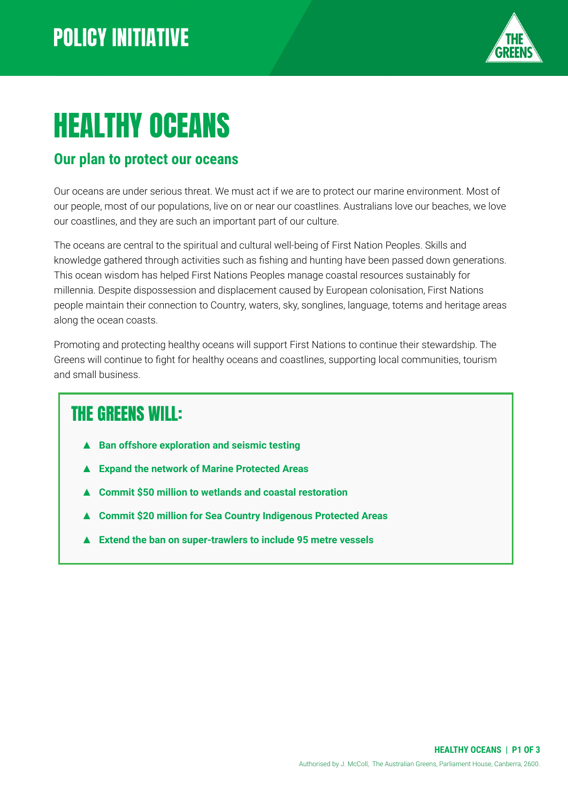

# HEALTHY OCEANS

#### **Our plan to protect our oceans**

Our oceans are under serious threat. We must act if we are to protect our marine environment. Most of our people, most of our populations, live on or near our coastlines. Australians love our beaches, we love our coastlines, and they are such an important part of our culture.

The oceans are central to the spiritual and cultural well-being of First Nation Peoples. Skills and knowledge gathered through activities such as fishing and hunting have been passed down generations. This ocean wisdom has helped First Nations Peoples manage coastal resources sustainably for millennia. Despite dispossession and displacement caused by European colonisation, First Nations people maintain their connection to Country, waters, sky, songlines, language, totems and heritage areas along the ocean coasts.

Promoting and protecting healthy oceans will support First Nations to continue their stewardship. The Greens will continue to fight for healthy oceans and coastlines, supporting local communities, tourism and small business.

#### THE GREENS WILL:

- **Ban offshore exploration and seismic testing**
- **Expand the network of Marine Protected Areas**
- **▲ Commit \$50 million to wetlands and coastal restoration**
- **▲ Commit \$20 million for Sea Country Indigenous Protected Areas**
- **▲ Extend the ban on super-trawlers to include 95 metre vessels**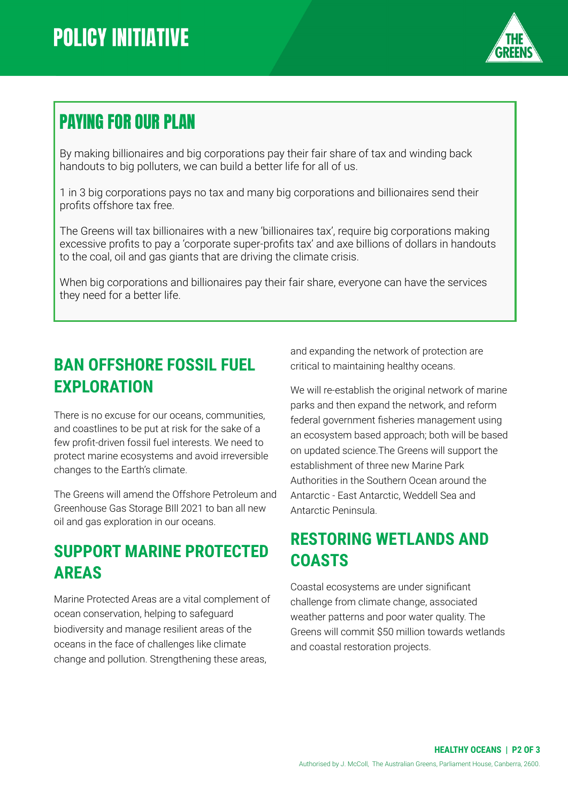

## PAYING FOR OUR PLAN

By making billionaires and big corporations pay their fair share of tax and winding back handouts to big polluters, we can build a better life for all of us.

1 in 3 big corporations pays no tax and many big corporations and billionaires send their profits offshore tax free.

The Greens will tax billionaires with a new 'billionaires tax', require big corporations making excessive profits to pay a 'corporate super-profits tax' and axe billions of dollars in handouts to the coal, oil and gas giants that are driving the climate crisis.

When big corporations and billionaires pay their fair share, everyone can have the services they need for a better life.

#### **BAN OFFSHORE FOSSIL FUEL EXPLORATION**

There is no excuse for our oceans, communities, and coastlines to be put at risk for the sake of a few profit-driven fossil fuel interests. We need to protect marine ecosystems and avoid irreversible changes to the Earth's climate.

The Greens will amend the Offshore Petroleum and Greenhouse Gas Storage BIll 2021 to ban all new oil and gas exploration in our oceans.

#### **SUPPORT MARINE PROTECTED AREAS**

Marine Protected Areas are a vital complement of ocean conservation, helping to safeguard biodiversity and manage resilient areas of the oceans in the face of challenges like climate change and pollution. Strengthening these areas,

and expanding the network of protection are critical to maintaining healthy oceans.

We will re-establish the original network of marine parks and then expand the network, and reform federal government fisheries management using an ecosystem based approach; both will be based on updated science.The Greens will support the establishment of three new Marine Park Authorities in the Southern Ocean around the Antarctic - East Antarctic, Weddell Sea and Antarctic Peninsula.

#### **RESTORING WETLANDS AND COASTS**

Coastal ecosystems are under significant challenge from climate change, associated weather patterns and poor water quality. The Greens will commit \$50 million towards wetlands and coastal restoration projects.